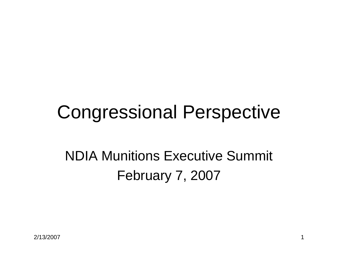# Congressional Perspective

## NDIA Munitions Executive Summit February 7, 2007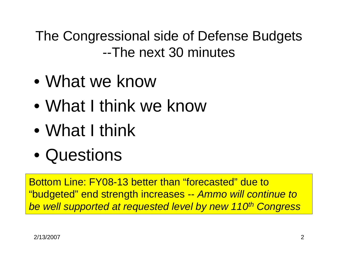The Congressional side of Defense Budgets --The next 30 minutes

- $\bullet$ What we know
- •What I think we know
- •What I think
- $\bullet$ **Questions**

Bottom Line: FY08-13 better than "forecasted" due to "budgeted" end strength increases -- *Ammo will continue to be well supported at requested level by new 110th Congress*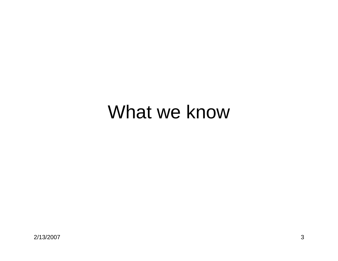## What we know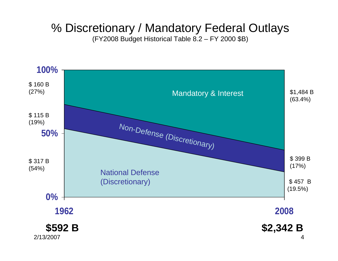### % Discretionary / Mandatory Federal Outlays

(FY2008 Budget Historical Table 8.2 – FY 2000 \$B)

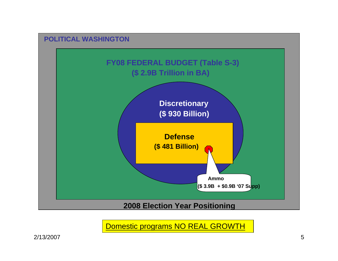

Domestic programs NO REAL GROWTH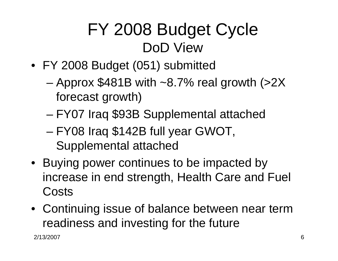## FY 2008 Budget Cycle DoD View

- FY 2008 Budget (051) submitted
	- – Approx \$481B with ~8.7% real growth (>2X forecast growth)
	- –FY07 Iraq \$93B Supplemental attached
	- – FY08 Iraq \$142B full year GWOT, Supplemental attached
- Buying power continues to be impacted by increase in end strength, Health Care and Fuel **Costs**
- Continuing issue of balance between near term readiness and investing for the future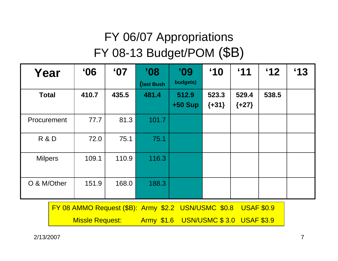### FY 06/07 Appropriations FY 08-13 Budget/POM (\$B)

| Year           | $^{\circ}$ 06 | °07   | '08<br>(last Bush) | '09<br>budgets)    | $^{\circ}10$     | $^{\circ}11$     | $^{\circ}12$ | $^{\circ}13$ |
|----------------|---------------|-------|--------------------|--------------------|------------------|------------------|--------------|--------------|
| <b>Total</b>   | 410.7         | 435.5 | 481.4              | 512.9<br>$+50$ Sup | 523.3<br>${+31}$ | 529.4<br>${+27}$ | 538.5        |              |
| Procurement    | 77.7          | 81.3  | 101.7              |                    |                  |                  |              |              |
| R&D            | 72.0          | 75.1  | 75.1               |                    |                  |                  |              |              |
| <b>Milpers</b> | 109.1         | 110.9 | 116.3              |                    |                  |                  |              |              |
| O & M/Other    | 151.9         | 168.0 | 188.3              |                    |                  |                  |              |              |

| FY 08 AMMO Request (\$B): Army \$2.2 USN/USMC \$0.8 USAF \$0.9 |  |                                      |  |
|----------------------------------------------------------------|--|--------------------------------------|--|
| <b>Missle Request:</b>                                         |  | Army \$1.6 USN/USMC \$3.0 USAF \$3.9 |  |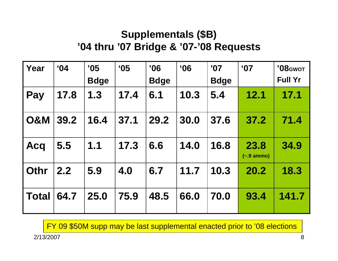### **Supplementals (\$B) '04 thru '07 Bridge & '07-'08 Requests**

| Year           | $^{\circ}$ 04 | '05<br><b>Bdge</b> | $^{\circ}$ 05 | '06<br><b>Bdge</b> | $^{\circ}$ 06 | '07<br><b>Bdge</b> | $^{\circ}$ 07                | '08 <sub>GWOT</sub><br><b>Full Yr</b> |
|----------------|---------------|--------------------|---------------|--------------------|---------------|--------------------|------------------------------|---------------------------------------|
| Pay            | 17.8          | 1.3                | 17.4          | 6.1                | 10.3          | 5.4                | 12.1                         | 17.1                                  |
| <b>O&amp;M</b> | 39.2          | 16.4               | 37.1          | 29.2               | 30.0          | 37.6               | 37.2                         | 71.4                                  |
| <b>Acq</b>     | 5.5           | 1.1                | 17.3          | 6.6                | 14.0          | 16.8               | 23.8<br>$(-.9 \text{ ammo})$ | 34.9                                  |
| l Othr         | 2.2           | 5.9                | 4.0           | 6.7                | 11.7          | 10.3               | 20.2                         | 18.3                                  |
| <b>Total</b>   | 64.7          | 25.0               | 75.9          | 48.5               | 66.0          | 70.0               | 93.4                         | 141.7                                 |

FY 09 \$50M supp may be last supplemental enacted prior to '08 elections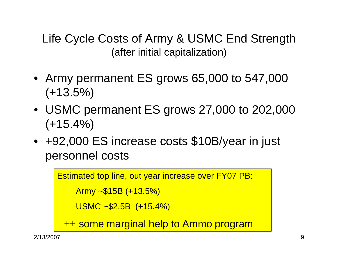Life Cycle Costs of Army & USMC End Strength (after initial capitalization)

- Army permanent ES grows 65,000 to 547,000  $(+13.5%)$
- USMC permanent ES grows 27,000 to 202,000  $(+15.4\%)$
- +92,000 ES increase costs \$10B/year in just personnel costs

```
Estimated top line, out year increase over FY07 PB:
   Army ~$15B (+13.5%)
   USMC ~$2.5B (+15.4%) 
++ some marginal help to Ammo program
```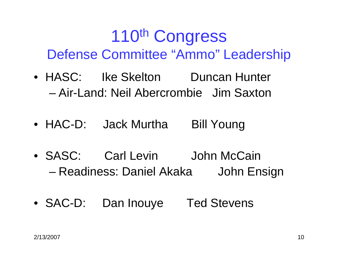## 110th Congress Defense Committee "Ammo" Leadership

- HASC: Ike Skelton Duncan Hunter – Air-Land: Neil Abercrombie Jim Saxton
- HAC-D: Jack Murtha Bill Young
- SASC: Carl Levin John McCain –Readiness: Daniel Akaka John Ensign
- SAC-D: Dan Inouye Ted Stevens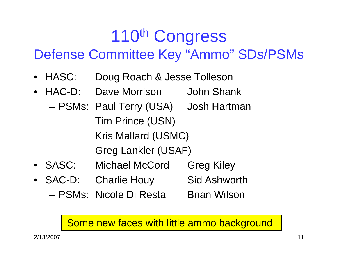## 110th Congress Defense Committee Key "Ammo" SDs/PSMs

- HASC: Doug Roach & Jesse Tolleson
- HAC-D: Dave Morrison John Shank
	- PSMs: Paul Terry (USA) Josh Hartman Tim Prince (USN) Kris Mallard (USMC) Greg Lankler (USAF)
- SASC: Michael McCord Greg Kiley
- SAC-D: Charlie Houy Sid Ashworth
	- PSMs: Nicole Di Resta Brian Wilson

### Some new faces with little ammo background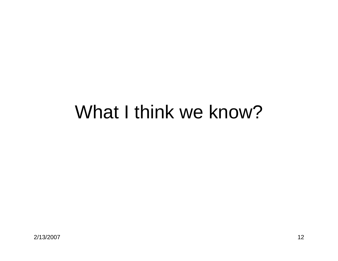## What I think we know?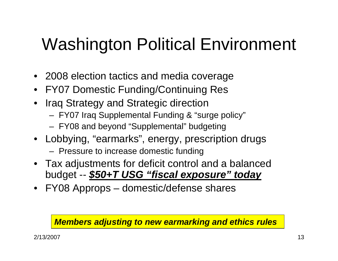# Washington Political Environment

- 2008 election tactics and media coverage
- FY07 Domestic Funding/Continuing Res
- • Iraq Strategy and Strategic direction
	- FY07 Iraq Supplemental Funding & "surge policy"
	- FY08 and beyond "Supplemental" budgeting
- Lobbying, "earmarks", energy, prescription drugs
	- Pressure to increase domestic funding
- Tax adjustments for deficit control and a balanced budget -- *\$50+T USG "fiscal exposure" today*
- FY08 Approps domestic/defense shares

#### *Members adjusting to new earmarking and ethics rules*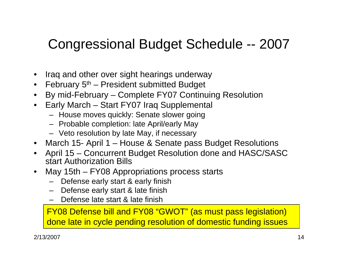### Congressional Budget Schedule -- 2007

- •Iraq and other over sight hearings underway
- $\bullet$  February 5<sup>th</sup> President submitted Budget
- •By mid-February – Complete FY07 Continuing Resolution
- • Early March – Start FY07 Iraq Supplemental
	- House moves quickly: Senate slower going
	- Probable completion: late April/early May
	- Veto resolution by late May, if necessary
- March 15- April 1 House & Senate pass Budget Resolutions
- • April 15 – Concurrent Budget Resolution done and HASC/SASC start Authorization Bills
- • May 15th – FY08 Appropriations process starts
	- Defense early start & early finish
	- Defense early start & late finish
	- Defense late start & late finish

FY08 Defense bill and FY08 "GWOT" (as must pass legislation) done late in cycle pending resolution of domestic funding issues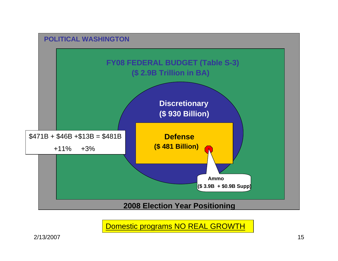

Domestic programs NO REAL GROWTH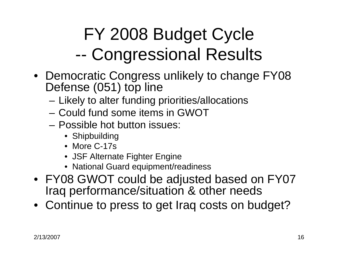### FY 2008 Budget Cycle --Congressional Results

- Democratic Congress unlikely to change FY08 Defense (051) top line
	- Likely to alter funding priorities/allocations
	- Could fund some items in GWOT
	- Possible hot button issues:
		- Shipbuilding
		- More C-17s
		- JSF Alternate Fighter Engine
		- National Guard equipment/readiness
- FY08 GWOT could be adjusted based on FY07 Iraq performance/situation & other needs
- Continue to press to get Iraq costs on budget?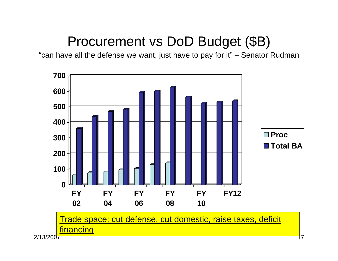### Procurement vs DoD Budget (\$B)

"can have all the defense we want, just have to pay for it" – Senator Rudman

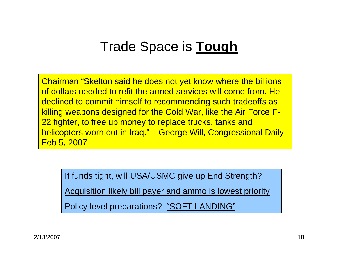### Trade Space is **Tough**

Chairman "Skelton said he does not yet know where the billions of dollars needed to refit the armed services will come from. Hedeclined to commit himself to recommending such tradeoffs as killing weapons designed for the Cold War, like the Air Force F-22 fighter, to free up money to replace trucks, tanks and helicopters worn out in Iraq." – George Will, Congressional Daily, Feb 5, 2007

If funds tight, will USA/USMC give up End Strength?

Acquisition likely bill payer and ammo is lowest priority

Policy level preparations? "SOFT LANDING"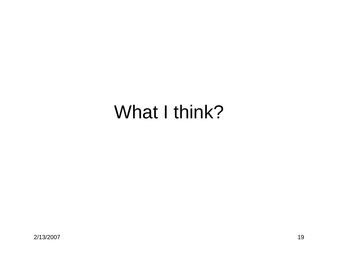# What I think?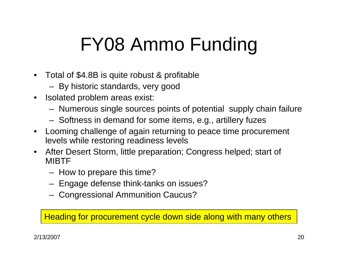# FY08 Ammo Funding

- $\bullet$  Total of \$4.8B is quite robust & profitable
	- By historic standards, very good
- $\bullet$  Isolated problem areas exist:
	- Numerous single sources points of potential supply chain failure
	- Softness in demand for some items, e.g., artillery fuzes
- $\bullet$  Looming challenge of again returning to peace time procurement levels while restoring readiness levels
- $\bullet$  After Desert Storm, little preparation; Congress helped; start of MIBTF
	- How to prepare this time?
	- Engage defense think-tanks on issues?
	- Congressional Ammunition Caucus?

Heading for procurement cycle down side along with many others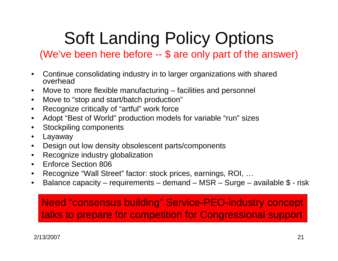# Soft Landing Policy Options

(We've been here before -- \$ are only part of the answer)

- • Continue consolidating industry in to larger organizations with shared overhead
- •Move to more flexible manufacturing – facilities and personnel
- $\bullet$ Move to "stop and start/batch production"
- Recognize critically of "artful" work force
- Adopt "Best of World" production models for variable "run" sizes
- Stockpiling components
- Layaway
- Design out low density obsolescent parts/components
- Recognize industry globalization
- Enforce Section 806
- Recognize "Wall Street" factor: stock prices, earnings, ROI, …
- $\bullet$ Balance capacity – requirements – demand – MSR – Surge – available  $$$  - risk

### Need "consensus building" Service-PEO-industry concept talks to prepare for competition for Congressional support